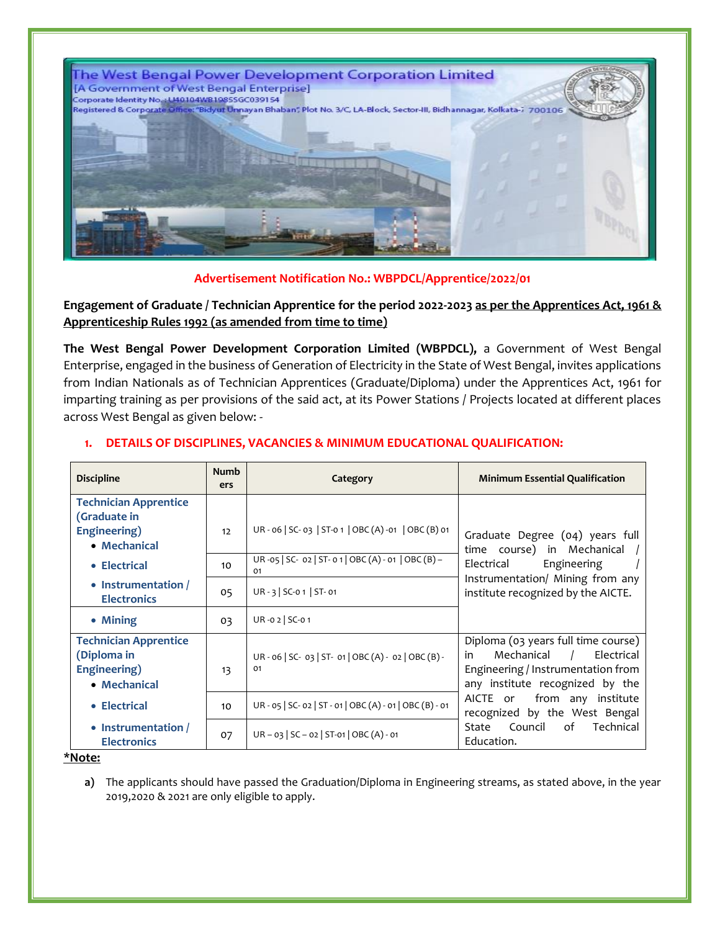

# **Advertisement Notification No.: WBPDCL/Apprentice/2022/01**

**Engagement of Graduate / Technician Apprentice for the period 2022-2023 as per the Apprentices Act, 1961 & Apprenticeship Rules 1992 (as amended from time to time)**

**The West Bengal Power Development Corporation Limited (WBPDCL),** a Government of West Bengal Enterprise, engaged in the business of Generation of Electricity in the State of West Bengal, invites applications from Indian Nationals as of Technician Apprentices (Graduate/Diploma) under the Apprentices Act, 1961 for imparting training as per provisions of the said act, at its Power Stations / Projects located at different places across West Bengal as given below: -

| <b>Discipline</b>                                                            | <b>Numb</b><br>ers | Category                                                   | <b>Minimum Essential Qualification</b>                                                                                                                          |  |
|------------------------------------------------------------------------------|--------------------|------------------------------------------------------------|-----------------------------------------------------------------------------------------------------------------------------------------------------------------|--|
| <b>Technician Apprentice</b><br>(Graduate in<br>Engineering)<br>• Mechanical | 12                 | UR - 06   SC- 03   ST-0 1   OBC (A) -01   OBC (B) 01       | Graduate Degree (04) years full<br>time course) in Mechanical<br>Engineering<br>Electrical                                                                      |  |
| • Electrical                                                                 | 10                 | UR-05   SC- 02   ST-01   OBC (A) - 01   OBC (B) -<br>01    |                                                                                                                                                                 |  |
| • Instrumentation /<br><b>Electronics</b>                                    | 05                 | $UR - 3$ SC-0 1 ST-01                                      | Instrumentation/ Mining from any<br>institute recognized by the AICTE.                                                                                          |  |
| • Mining                                                                     | 03                 | UR-02 SC-01                                                |                                                                                                                                                                 |  |
| <b>Technician Apprentice</b><br>(Diploma in<br>Engineering)<br>• Mechanical  | 13                 | UR - 06   SC- 03   ST- 01   OBC (A) - 02   OBC (B) -<br>01 | Diploma (03 years full time course)<br>Electrical<br>Mechanical<br>in<br>$\frac{1}{2}$<br>Engineering / Instrumentation from<br>any institute recognized by the |  |
| • Electrical                                                                 | 10                 | UR - 05   SC- 02   ST - 01   OBC (A) - 01   OBC (B) - 01   | from any institute<br>AICTE or<br>recognized by the West Bengal<br>State Council<br>of<br>Technical<br>Education.                                               |  |
| • Instrumentation /<br><b>Electronics</b>                                    | 07                 | $UR - 03$   SC - 02   ST-01   OBC (A) - 01                 |                                                                                                                                                                 |  |

# **1. DETAILS OF DISCIPLINES, VACANCIES & MINIMUM EDUCATIONAL QUALIFICATION:**

#### **\*Note:**

**a)** The applicants should have passed the Graduation/Diploma in Engineering streams, as stated above, in the year 2019,2020 & 2021 are only eligible to apply.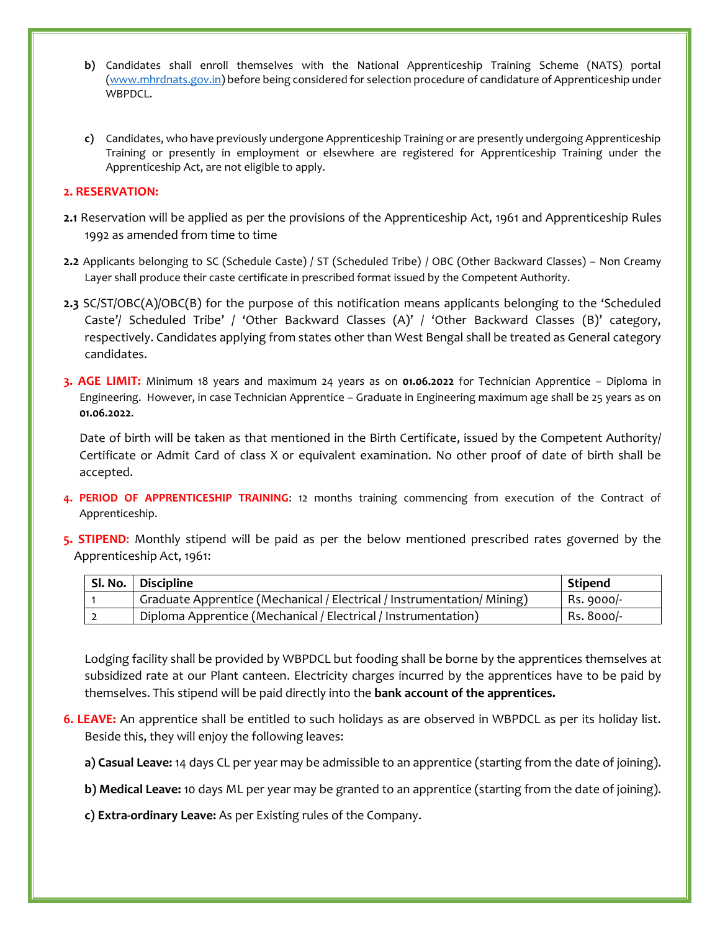- **b)** Candidates shall enroll themselves with the National Apprenticeship Training Scheme (NATS) portal [\(www.mhrdnats.gov.in\)](http://www.mhrdnats.gov.in/) before being considered for selection procedure of candidature of Apprenticeship under WBPDCL.
- **c)** Candidates, who have previously undergone Apprenticeship Training or are presently undergoing Apprenticeship Training or presently in employment or elsewhere are registered for Apprenticeship Training under the Apprenticeship Act, are not eligible to apply.

#### **2. RESERVATION:**

- **2.1** Reservation will be applied as per the provisions of the Apprenticeship Act, 1961 and Apprenticeship Rules 1992 as amended from time to time
- **2.2** Applicants belonging to SC (Schedule Caste) / ST (Scheduled Tribe) / OBC (Other Backward Classes) Non Creamy Layer shall produce their caste certificate in prescribed format issued by the Competent Authority.
- **2.3** SC/ST/OBC(A)/OBC(B) for the purpose of this notification means applicants belonging to the 'Scheduled Caste'/ Scheduled Tribe' / 'Other Backward Classes (A)' / 'Other Backward Classes (B)' category, respectively. Candidates applying from states other than West Bengal shall be treated as General category candidates.
- **3. AGE LIMIT:** Minimum 18 years and maximum 24 years as on **01.06.2022** for Technician Apprentice Diploma in Engineering. However, in case Technician Apprentice – Graduate in Engineering maximum age shall be 25 years as on **01.06.2022**.

Date of birth will be taken as that mentioned in the Birth Certificate, issued by the Competent Authority/ Certificate or Admit Card of class X or equivalent examination. No other proof of date of birth shall be accepted.

- **4. PERIOD OF APPRENTICESHIP TRAINING**: 12 months training commencing from execution of the Contract of Apprenticeship.
- **5. STIPEND**: Monthly stipend will be paid as per the below mentioned prescribed rates governed by the Apprenticeship Act, 1961:

| Sl. No.   Discipline                                                    | <b>Stipend</b> |
|-------------------------------------------------------------------------|----------------|
| Graduate Apprentice (Mechanical / Electrical / Instrumentation/ Mining) | Rs. 9000/-     |
| Diploma Apprentice (Mechanical / Electrical / Instrumentation)          | Rs. 8000/-     |

Lodging facility shall be provided by WBPDCL but fooding shall be borne by the apprentices themselves at subsidized rate at our Plant canteen. Electricity charges incurred by the apprentices have to be paid by themselves. This stipend will be paid directly into the **bank account of the apprentices.**

- **6. LEAVE:** An apprentice shall be entitled to such holidays as are observed in WBPDCL as per its holiday list. Beside this, they will enjoy the following leaves:
	- **a) Casual Leave:** 14 days CL per year may be admissible to an apprentice (starting from the date of joining).
	- **b) Medical Leave:** 10 days ML per year may be granted to an apprentice (starting from the date of joining).
	- **c) Extra-ordinary Leave:** As per Existing rules of the Company.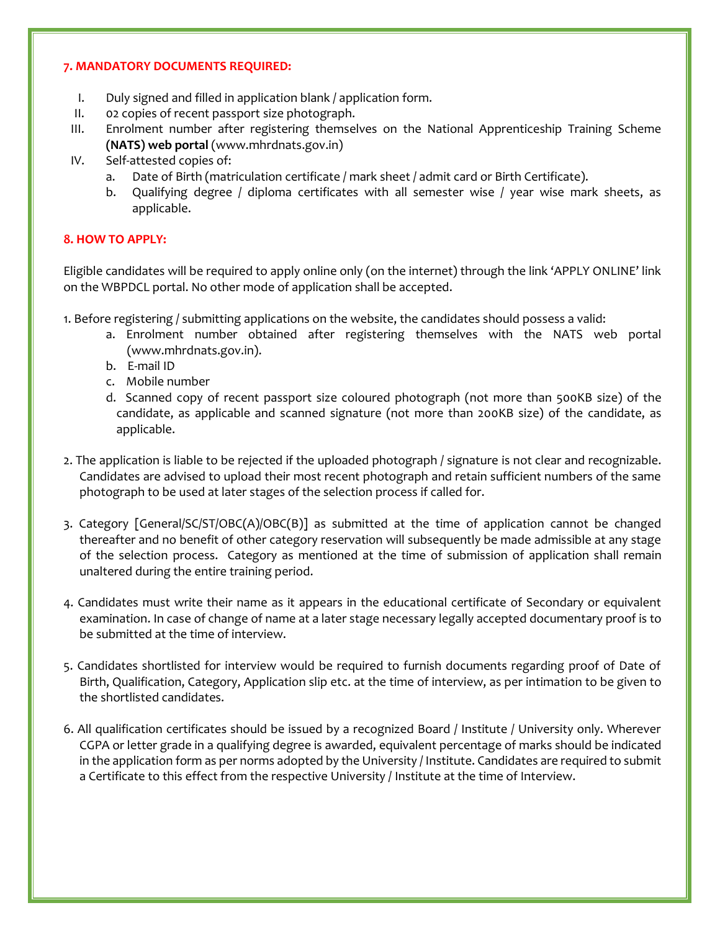## **7. MANDATORY DOCUMENTS REQUIRED:**

- I. Duly signed and filled in application blank / application form.
- II. 02 copies of recent passport size photograph.
- III. Enrolment number after registering themselves on the National Apprenticeship Training Scheme **(NATS) web portal** (www.mhrdnats.gov.in)
- IV. Self-attested copies of:
	- a. Date of Birth (matriculation certificate / mark sheet / admit card or Birth Certificate).
	- b. Qualifying degree / diploma certificates with all semester wise / year wise mark sheets, as applicable.

# **8. HOW TO APPLY:**

Eligible candidates will be required to apply online only (on the internet) through the link 'APPLY ONLINE' link on the WBPDCL portal. No other mode of application shall be accepted.

- 1. Before registering / submitting applications on the website, the candidates should possess a valid:
	- a. Enrolment number obtained after registering themselves with the NATS web portal (www.mhrdnats.gov.in).
	- b. E-mail ID
	- c. Mobile number
	- d. Scanned copy of recent passport size coloured photograph (not more than 500KB size) of the candidate, as applicable and scanned signature (not more than 200KB size) of the candidate, as applicable.
- 2. The application is liable to be rejected if the uploaded photograph / signature is not clear and recognizable. Candidates are advised to upload their most recent photograph and retain sufficient numbers of the same photograph to be used at later stages of the selection process if called for.
- 3. Category [General/SC/ST/OBC(A)/OBC(B)] as submitted at the time of application cannot be changed thereafter and no benefit of other category reservation will subsequently be made admissible at any stage of the selection process. Category as mentioned at the time of submission of application shall remain unaltered during the entire training period.
- 4. Candidates must write their name as it appears in the educational certificate of Secondary or equivalent examination. In case of change of name at a later stage necessary legally accepted documentary proof is to be submitted at the time of interview.
- 5. Candidates shortlisted for interview would be required to furnish documents regarding proof of Date of Birth, Qualification, Category, Application slip etc. at the time of interview, as per intimation to be given to the shortlisted candidates.
- 6. All qualification certificates should be issued by a recognized Board / Institute / University only. Wherever CGPA or letter grade in a qualifying degree is awarded, equivalent percentage of marks should be indicated in the application form as per norms adopted by the University / Institute. Candidates are required to submit a Certificate to this effect from the respective University / Institute at the time of Interview.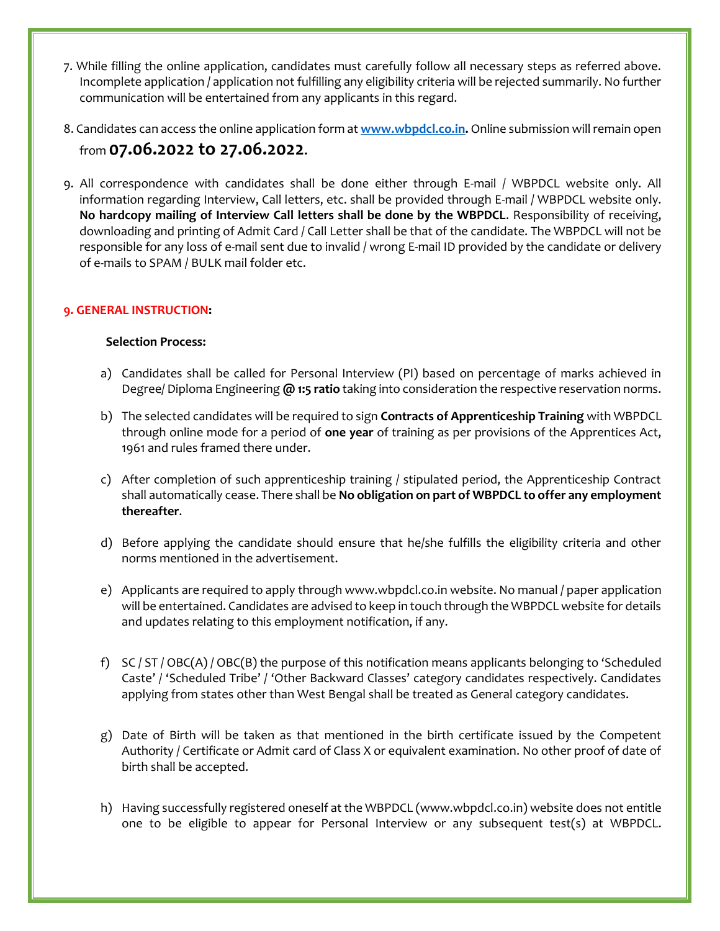- 7. While filling the online application, candidates must carefully follow all necessary steps as referred above. Incomplete application / application not fulfilling any eligibility criteria will be rejected summarily. No further communication will be entertained from any applicants in this regard.
- 8. Candidates can access the online application form at **[www.wbpdcl.co.in.](file:///G:/Downloads/www.wbpdcl.co.in)** Online submission will remain open from **07.06.2022 to 27.06.2022.**
- 9. All correspondence with candidates shall be done either through E-mail / WBPDCL website only. All information regarding Interview, Call letters, etc. shall be provided through E-mail / WBPDCL website only. **No hardcopy mailing of Interview Call letters shall be done by the WBPDCL**. Responsibility of receiving, downloading and printing of Admit Card / Call Letter shall be that of the candidate. The WBPDCL will not be responsible for any loss of e-mail sent due to invalid / wrong E-mail ID provided by the candidate or delivery of e-mails to SPAM / BULK mail folder etc.

# **9. GENERAL INSTRUCTION:**

### **Selection Process:**

- a) Candidates shall be called for Personal Interview (PI) based on percentage of marks achieved in Degree/ Diploma Engineering **@ 1:5 ratio** taking into consideration the respective reservation norms.
- b) The selected candidates will be required to sign **Contracts of Apprenticeship Training** with WBPDCL through online mode for a period of **one year** of training as per provisions of the Apprentices Act, 1961 and rules framed there under.
- c) After completion of such apprenticeship training / stipulated period, the Apprenticeship Contract shall automatically cease. There shall be **No obligation on part of WBPDCL to offer any employment thereafter**.
- d) Before applying the candidate should ensure that he/she fulfills the eligibility criteria and other norms mentioned in the advertisement.
- e) Applicants are required to apply through www.wbpdcl.co.in website. No manual / paper application will be entertained. Candidates are advised to keep in touch through the WBPDCL website for details and updates relating to this employment notification, if any.
- f) SC / ST / OBC(A) / OBC(B) the purpose of this notification means applicants belonging to 'Scheduled Caste' / 'Scheduled Tribe' / 'Other Backward Classes' category candidates respectively. Candidates applying from states other than West Bengal shall be treated as General category candidates.
- g) Date of Birth will be taken as that mentioned in the birth certificate issued by the Competent Authority / Certificate or Admit card of Class X or equivalent examination. No other proof of date of birth shall be accepted.
- h) Having successfully registered oneself at the WBPDCL (www.wbpdcl.co.in) website does not entitle one to be eligible to appear for Personal Interview or any subsequent test(s) at WBPDCL.